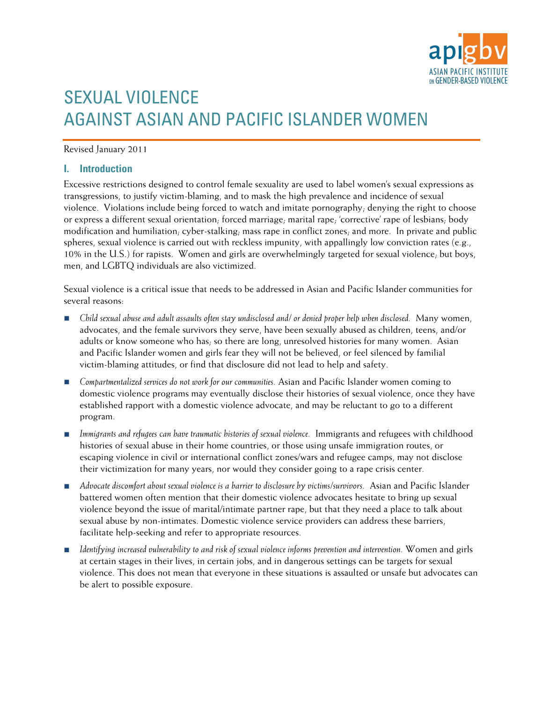

# SEXUAL VIOLENCE AGAINST ASIAN AND PACIFIC ISLANDER WOMEN

#### Revised January 2011

#### **I. Introduction**

Excessive restrictions designed to control female sexuality are used to label women's sexual expressions as transgressions, to justify victim-blaming, and to mask the high prevalence and incidence of sexual violence. Violations include being forced to watch and imitate pornography; denying the right to choose or express a different sexual orientation; forced marriage; marital rape; 'corrective' rape of lesbians; body modification and humiliation; cyber-stalking; mass rape in conflict zones; and more. In private and public spheres, sexual violence is carried out with reckless impunity, with appallingly low conviction rates (e.g., 10% in the U.S.) for rapists. Women and girls are overwhelmingly targeted for sexual violence; but boys, men, and LGBTQ individuals are also victimized.

Sexual violence is a critical issue that needs to be addressed in Asian and Pacific Islander communities for several reasons:

- *Child sexual abuse and adult assaults often stay undisclosed and/ or denied proper help when disclosed.* Many women, advocates, and the female survivors they serve, have been sexually abused as children, teens, and/or adults or know someone who has, so there are long, unresolved histories for many women. Asian and Pacific Islander women and girls fear they will not be believed, or feel silenced by familial victim-blaming attitudes, or find that disclosure did not lead to help and safety.
- *Compartmentalized services do not work for our communities.* Asian and Pacific Islander women coming to domestic violence programs may eventually disclose their histories of sexual violence, once they have established rapport with a domestic violence advocate, and may be reluctant to go to a different program.
- *Immigrants and refugees can have traumatic histories of sexual violence.* Immigrants and refugees with childhood histories of sexual abuse in their home countries, or those using unsafe immigration routes, or escaping violence in civil or international conflict zones/wars and refugee camps, may not disclose their victimization for many years, nor would they consider going to a rape crisis center.
- *Advocate discomfort about sexual violence is a barrier to disclosure by victims/survivors.* Asian and Pacific Islander battered women often mention that their domestic violence advocates hesitate to bring up sexual violence beyond the issue of marital/intimate partner rape, but that they need a place to talk about sexual abuse by non-intimates. Domestic violence service providers can address these barriers, facilitate help-seeking and refer to appropriate resources.
- *Identifying increased vulnerability to and risk of sexual violence informs prevention and intervention.* Women and girls at certain stages in their lives, in certain jobs, and in dangerous settings can be targets for sexual violence. This does not mean that everyone in these situations is assaulted or unsafe but advocates can be alert to possible exposure.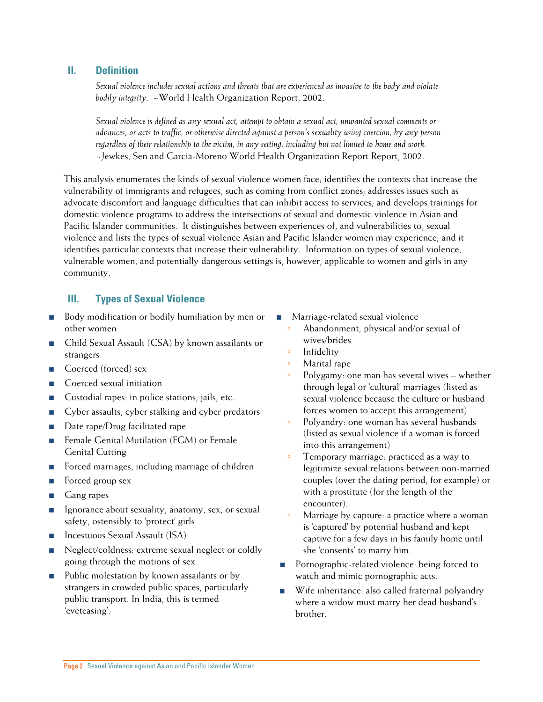#### **II. Definition**

*Sexual violence includes sexual actions and threats that are experienced as invasive to the body and violate bodily integrity.* ~World Health Organization Report, 2002.

*Sexual violence is defined as any sexual act, attempt to obtain a sexual act, unwanted sexual comments or advances, or acts to traffic, or otherwise directed against a person's sexuality using coercion, by any person regardless of their relationship to the victim, in any setting, including but not limited to home and work.*  ~Jewkes, Sen and Garcia-Moreno World Health Organization Report Report, 2002.

This analysis enumerates the kinds of sexual violence women face; identifies the contexts that increase the vulnerability of immigrants and refugees, such as coming from conflict zones; addresses issues such as advocate discomfort and language difficulties that can inhibit access to services; and develops trainings for domestic violence programs to address the intersections of sexual and domestic violence in Asian and Pacific Islander communities. It distinguishes between experiences of, and vulnerabilities to, sexual violence and lists the types of sexual violence Asian and Pacific Islander women may experience; and it identifies particular contexts that increase their vulnerability. Information on types of sexual violence, vulnerable women, and potentially dangerous settings is, however, applicable to women and girls in any community.

### **III. Types of Sexual Violence**

- Body modification or bodily humiliation by men or other women
- Child Sexual Assault (CSA) by known assailants or strangers
- Coerced (forced) sex
- Coerced sexual initiation
- Custodial rapes: in police stations, jails, etc.
- Cyber assaults, cyber stalking and cyber predators
- Date rape/Drug facilitated rape
- Female Genital Mutilation (FGM) or Female Genital Cutting
- Forced marriages, including marriage of children
- Forced group sex
- Gang rapes
- Ignorance about sexuality, anatomy, sex, or sexual safety, ostensibly to 'protect' girls.
- Incestuous Sexual Assault (ISA)
- Neglect/coldness: extreme sexual neglect or coldly going through the motions of sex
- Public molestation by known assailants or by strangers in crowded public spaces, particularly public transport. In India, this is termed 'eveteasing'.
- Marriage-related sexual violence
	- Abandonment, physical and/or sexual of wives/brides
	- **Infidelity**
	- Marital rape
	- Polygamy: one man has several wives whether through legal or 'cultural' marriages (listed as sexual violence because the culture or husband forces women to accept this arrangement)
	- Polyandry: one woman has several husbands (listed as sexual violence if a woman is forced into this arrangement)
	- Temporary marriage: practiced as a way to legitimize sexual relations between non-married couples (over the dating period, for example) or with a prostitute (for the length of the encounter).
	- Marriage by capture: a practice where a woman is 'captured' by potential husband and kept captive for a few days in his family home until she 'consents' to marry him.
- Pornographic-related violence: being forced to watch and mimic pornographic acts.
- Wife inheritance: also called fraternal polyandry where a widow must marry her dead husband's brother.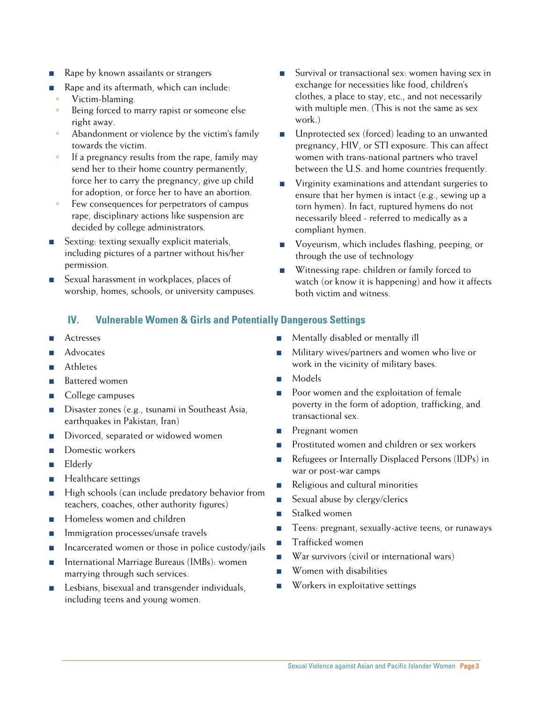- Rape by known assailants or strangers
- Rape and its aftermath, which can include:
- Victim-blaming.
- <sup>o</sup> Being forced to marry rapist or someone else right away.
- Abandonment or violence by the victim's family towards the victim.
- If a pregnancy results from the rape, family may send her to their home country permanently, force her to carry the pregnancy, give up child for adoption, or force her to have an abortion.
- Few consequences for perpetrators of campus rape, disciplinary actions like suspension are decided by college administrators.
- Sexting: texting sexually explicit materials, including pictures of a partner without his/her permission.
- Sexual harassment in workplaces, places of worship, homes, schools, or university campuses.

## **IV. Vulnerable Women & Girls and Potentially Dangerous Settings**

- Actresses
- Advocates
- Athletes
- Battered women
- College campuses
- Disaster zones (e.g., tsunami in Southeast Asia, earthquakes in Pakistan, Iran)
- Divorced, separated or widowed women
- Domestic workers
- Elderly
- Healthcare settings
- High schools (can include predatory behavior from teachers, coaches, other authority figures)
- Homeless women and children
- Immigration processes/unsafe travels
- Incarcerated women or those in police custody/jails
- International Marriage Bureaus (IMBs): women marrying through such services.
- Lesbians, bisexual and transgender individuals, including teens and young women.
- Survival or transactional sex: women having sex in exchange for necessities like food, children's clothes, a place to stay, etc., and not necessarily with multiple men. (This is not the same as sex work.)
- Unprotected sex (forced) leading to an unwanted pregnancy, HIV, or STI exposure. This can affect women with trans-national partners who travel between the U.S. and home countries frequently.
- Virginity examinations and attendant surgeries to ensure that her hymen is intact (e.g., sewing up a torn hymen). In fact, ruptured hymens do not necessarily bleed - referred to medically as a compliant hymen.
- Voyeurism, which includes flashing, peeping, or through the use of technology
- Witnessing rape: children or family forced to watch (or know it is happening) and how it affects both victim and witness.
- Mentally disabled or mentally ill
- Military wives/partners and women who live or work in the vicinity of military bases.
- Models
- Poor women and the exploitation of female poverty in the form of adoption, trafficking, and transactional sex.
- Pregnant women
- Prostituted women and children or sex workers
- Refugees or Internally Displaced Persons (IDPs) in war or post-war camps
- Religious and cultural minorities
- Sexual abuse by clergy/clerics
- Stalked women
- Teens: pregnant, sexually-active teens, or runaways
- Trafficked women
- War survivors (civil or international wars)
- Women with disabilities
- Workers in exploitative settings